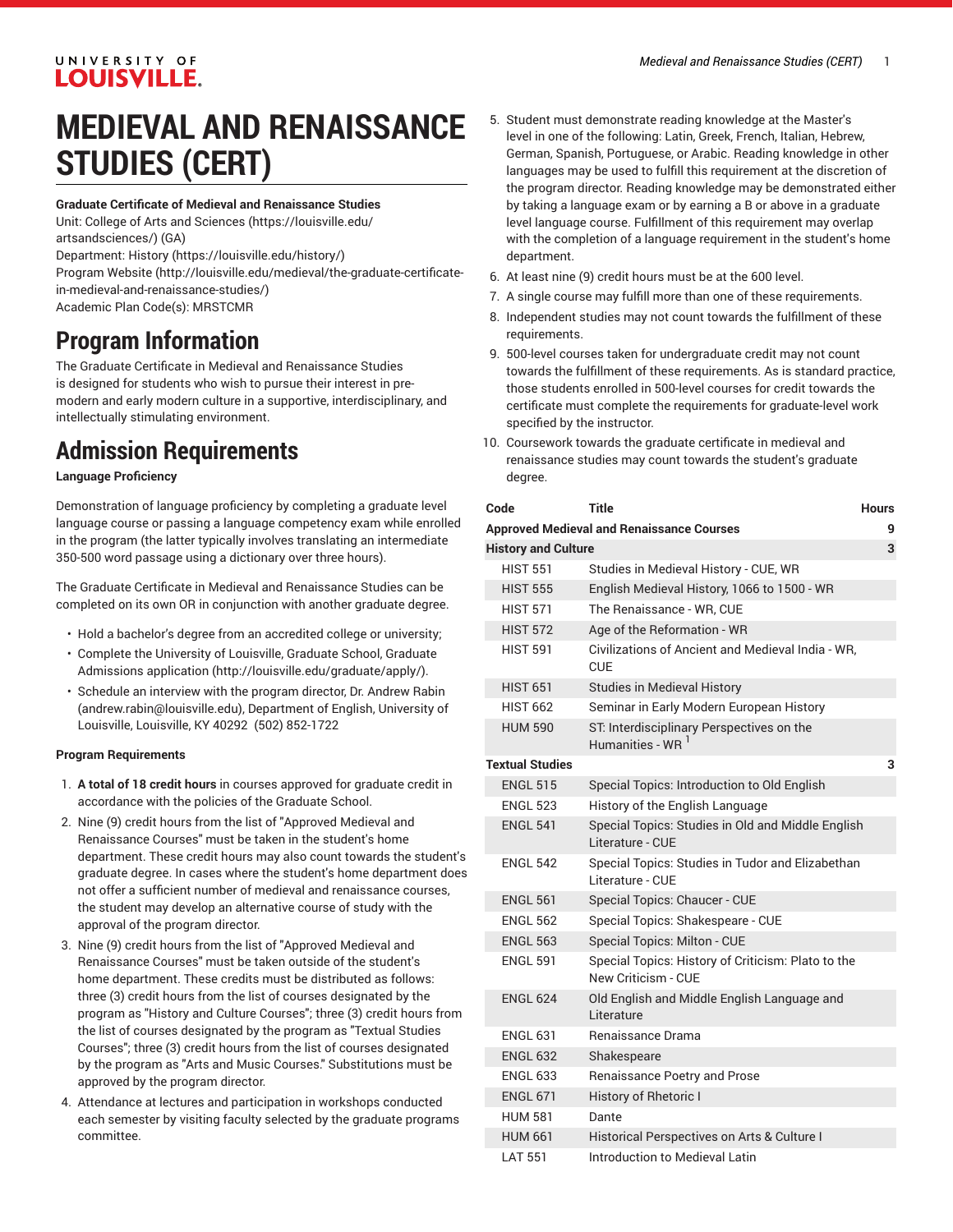### UNIVERSITY OF **LOUISVILLE.**

## **MEDIEVAL AND RENAISSANCE STUDIES (CERT)**

#### **Graduate Certificate of Medieval and Renaissance Studies**

Unit: College of Arts and [Sciences \(https://louisville.edu/](https://louisville.edu/artsandsciences/) [artsandsciences/\)](https://louisville.edu/artsandsciences/) (GA)

Department: [History \(https://louisville.edu/history/](https://louisville.edu/history/))

[Program](http://louisville.edu/medieval/the-graduate-certificate-in-medieval-and-renaissance-studies/) Website [\(http://louisville.edu/medieval/the-graduate-certificate](http://louisville.edu/medieval/the-graduate-certificate-in-medieval-and-renaissance-studies/)[in-medieval-and-renaissance-studies/](http://louisville.edu/medieval/the-graduate-certificate-in-medieval-and-renaissance-studies/))

Academic Plan Code(s): MRSTCMR

### **Program Information**

The Graduate Certificate in Medieval and Renaissance Studies is designed for students who wish to pursue their interest in premodern and early modern culture in a supportive, interdisciplinary, and intellectually stimulating environment.

### **Admission Requirements**

### **Language Proficiency**

Demonstration of language proficiency by completing a graduate level language course or passing a language competency exam while enrolled in the program (the latter typically involves translating an intermediate 350-500 word passage using a dictionary over three hours).

The Graduate Certificate in Medieval and Renaissance Studies can be completed on its own OR in conjunction with another graduate degree.

- Hold a bachelor's degree from an accredited college or university;
- Complete the University of Louisville, Graduate School, [Graduate](http://louisville.edu/graduate/apply/) [Admissions application](http://louisville.edu/graduate/apply/) ([http://louisville.edu/graduate/apply/\)](http://louisville.edu/graduate/apply/).
- Schedule an interview with the program director, Dr. [Andrew](mailto:andrew.rabin@louisville.edu) Rabin (<andrew.rabin@louisville.edu>), Department of English, University of Louisville, Louisville, KY 40292 (502) 852-1722

### **Program Requirements**

- 1. **A total of 18 credit hours** in courses approved for graduate credit in accordance with the policies of the Graduate School.
- 2. Nine (9) credit hours from the list of "Approved Medieval and Renaissance Courses" must be taken in the student's home department. These credit hours may also count towards the student's graduate degree. In cases where the student's home department does not offer a sufficient number of medieval and renaissance courses, the student may develop an alternative course of study with the approval of the program director.
- 3. Nine (9) credit hours from the list of "Approved Medieval and Renaissance Courses" must be taken outside of the student's home department. These credits must be distributed as follows: three (3) credit hours from the list of courses designated by the program as "History and Culture Courses"; three (3) credit hours from the list of courses designated by the program as "Textual Studies Courses"; three (3) credit hours from the list of courses designated by the program as "Arts and Music Courses." Substitutions must be approved by the program director.
- 4. Attendance at lectures and participation in workshops conducted each semester by visiting faculty selected by the graduate programs committee.
- 5. Student must demonstrate reading knowledge at the Master's level in one of the following: Latin, Greek, French, Italian, Hebrew, German, Spanish, Portuguese, or Arabic. Reading knowledge in other languages may be used to fulfill this requirement at the discretion of the program director. Reading knowledge may be demonstrated either by taking a language exam or by earning a B or above in a graduate level language course. Fulfillment of this requirement may overlap with the completion of a language requirement in the student's home department.
- 6. At least nine (9) credit hours must be at the 600 level.
- 7. A single course may fulfill more than one of these requirements.
- 8. Independent studies may not count towards the fulfillment of these requirements.
- 9. 500-level courses taken for undergraduate credit may not count towards the fulfillment of these requirements. As is standard practice, those students enrolled in 500-level courses for credit towards the certificate must complete the requirements for graduate-level work specified by the instructor.
- 10. Coursework towards the graduate certificate in medieval and renaissance studies may count towards the student's graduate degree.

| Code                            | Title                                                                     | <b>Hours</b> |  |  |
|---------------------------------|---------------------------------------------------------------------------|--------------|--|--|
|                                 | <b>Approved Medieval and Renaissance Courses</b>                          | g            |  |  |
| <b>History and Culture</b><br>3 |                                                                           |              |  |  |
| <b>HIST 551</b>                 | Studies in Medieval History - CUE, WR                                     |              |  |  |
| <b>HIST 555</b>                 | English Medieval History, 1066 to 1500 - WR                               |              |  |  |
| <b>HIST 571</b>                 | The Renaissance - WR, CUE                                                 |              |  |  |
| <b>HIST 572</b>                 | Age of the Reformation - WR                                               |              |  |  |
| <b>HIST 591</b>                 | Civilizations of Ancient and Medieval India - WR.<br><b>CUE</b>           |              |  |  |
| <b>HIST 651</b>                 | <b>Studies in Medieval History</b>                                        |              |  |  |
| <b>HIST 662</b>                 | Seminar in Early Modern European History                                  |              |  |  |
| <b>HUM 590</b>                  | ST: Interdisciplinary Perspectives on the<br>Humanities - WR <sup>1</sup> |              |  |  |
| <b>Textual Studies</b>          |                                                                           |              |  |  |
| <b>ENGL 515</b>                 | Special Topics: Introduction to Old English                               |              |  |  |
| <b>ENGL 523</b>                 | History of the English Language                                           |              |  |  |
| <b>ENGL 541</b>                 | Special Topics: Studies in Old and Middle English<br>Literature - CUE     |              |  |  |
| <b>ENGL 542</b>                 | Special Topics: Studies in Tudor and Elizabethan<br>Literature - CUE      |              |  |  |
| <b>ENGL 561</b>                 | Special Topics: Chaucer - CUE                                             |              |  |  |
| <b>ENGL 562</b>                 | Special Topics: Shakespeare - CUE                                         |              |  |  |
| <b>ENGL 563</b>                 | Special Topics: Milton - CUE                                              |              |  |  |
| <b>ENGL 591</b>                 | Special Topics: History of Criticism: Plato to the<br>New Criticism - CUE |              |  |  |
| <b>ENGL 624</b>                 | Old English and Middle English Language and<br>Literature                 |              |  |  |
| <b>ENGL 631</b>                 | <b>Benaissance Drama</b>                                                  |              |  |  |
| <b>ENGL 632</b>                 | Shakespeare                                                               |              |  |  |
| <b>ENGL 633</b>                 | Renaissance Poetry and Prose                                              |              |  |  |
| <b>ENGL 671</b>                 | History of Rhetoric I                                                     |              |  |  |
| <b>HUM 581</b>                  | Dante                                                                     |              |  |  |
| <b>HUM 661</b>                  | Historical Perspectives on Arts & Culture I                               |              |  |  |
| <b>LAT 551</b>                  | Introduction to Medieval Latin                                            |              |  |  |